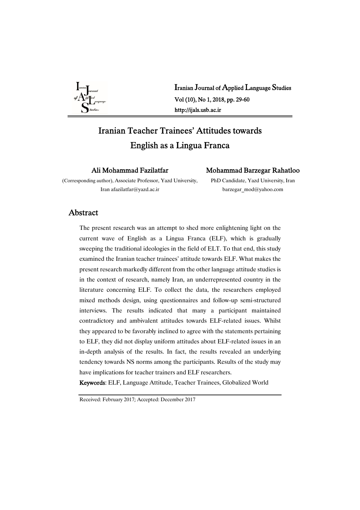

Iranian Journal of Applied Language Studies Vol(10),No1,2018,pp.29-60 http://ijals.usb.ac.ir

# Iranian Teacher Trainees' Attitudes towards English as a Lingua Franca

Ali Mohammad Fazilatfar

Mohammad Barzegar Rahatloo

(Corresponding author), Associate Professor, Yazd University, Iran afazilatfar@yazd.ac.ir

PhD Candidate, Yazd University, Iran barzegar\_mod@yahoo.com

## Abstract

The present research was an attempt to shed more enlightening light on the current wave of English as a Lingua Franca (ELF), which is gradually sweeping the traditional ideologies in the field of ELT. To that end, this study examined the Iranian teacher trainees' attitude towards ELF. What makes the present research markedly different from the other language attitude studies is in the context of research, namely Iran, an underrepresented country in the literature concerning ELF. To collect the data, the researchers employed mixed methods design, using questionnaires and follow-up semi-structured interviews. The results indicated that many a participant maintained contradictory and ambivalent attitudes towards ELF-related issues. Whilst they appeared to be favorably inclined to agree with the statements pertaining to ELF, they did not display uniform attitudes about ELF-related issues in an in-depth analysis of the results. In fact, the results revealed an underlying tendency towards NS norms among the participants. Results of the study may have implications for teacher trainers and ELF researchers.

Keywords: ELF, Language Attitude, Teacher Trainees, Globalized World

Received: February 2017; Accepted: December 2017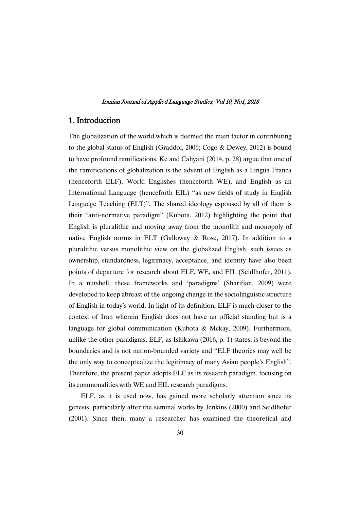## 1.Introduction

The globalization of the world which is deemed the main factor in contributing to the global status of English (Graddol, 2006; Cogo & Dewey, 2012) is bound to have profound ramifications. Ke and Cahyani (2014, p. 28) argue that one of the ramifications of globalization is the advent of English as a Lingua Franca (henceforth ELF), World Englishes (henceforth WE), and English as an International Language (henceforth EIL) "as new fields of study in English Language Teaching (ELT)". The shared ideology espoused by all of them is their "anti-normative paradigm" (Kubota, 2012) highlighting the point that English is pluralithic and moving away from the monolith and monopoly of native English norms in ELT (Galloway & Rose, 2017). In addition to a pluralithic versus monolithic view on the globalized English, such issues as ownership, standardness, legitimacy, acceptance, and identity have also been points of departure for research about ELF, WE, and EIL (Seidlhofer, 2011). In a nutshell, these frameworks and 'paradigms' (Sharifian, 2009) were developed to keep abreast of the ongoing change in the sociolinguistic structure of English in today's world. In light of its definition, ELF is much closer to the context of Iran wherein English does not have an official standing but is a language for global communication (Kubota & Mckay, 2009). Furthermore, unlike the other paradigms, ELF, as Ishikawa (2016, p. 1) states, is beyond the boundaries and is not nation-bounded variety and "ELF theories may well be the only way to conceptualize the legitimacy of many Asian people's English". Therefore, the present paper adopts ELF as its research paradigm, focusing on its commonalities with WE and EIL research paradigms.

ELF, as it is used now, has gained more scholarly attention since its genesis, particularly after the seminal works by Jenkins (2000) and Seidlhofer (2001). Since then, many a researcher has examined the theoretical and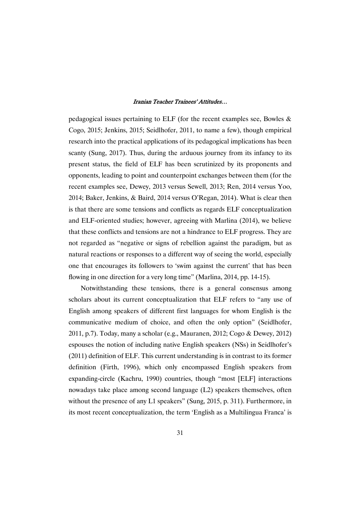pedagogical issues pertaining to ELF (for the recent examples see, Bowles & Cogo, 2015; Jenkins, 2015; Seidlhofer, 2011, to name a few), though empirical research into the practical applications of its pedagogical implications has been scanty (Sung, 2017). Thus, during the arduous journey from its infancy to its present status, the field of ELF has been scrutinized by its proponents and opponents, leading to point and counterpoint exchanges between them (for the recent examples see, Dewey, 2013 versus Sewell, 2013; Ren, 2014 versus Yoo, 2014; Baker, Jenkins, & Baird, 2014 versus O'Regan, 2014). What is clear then is that there are some tensions and conflicts as regards ELF conceptualization and ELF-oriented studies; however, agreeing with Marlina (2014), we believe that these conflicts and tensions are not a hindrance to ELF progress. They are not regarded as "negative or signs of rebellion against the paradigm, but as natural reactions or responses to a different way of seeing the world, especially one that encourages its followers to 'swim against the current' that has been flowing in one direction for a very long time" (Marlina, 2014, pp. 14-15).

Notwithstanding these tensions, there is a general consensus among scholars about its current conceptualization that ELF refers to "any use of English among speakers of different first languages for whom English is the communicative medium of choice, and often the only option" (Seidlhofer, 2011, p.7). Today, many a scholar (e.g., Mauranen, 2012; Cogo & Dewey, 2012) espouses the notion of including native English speakers (NSs) in Seidlhofer's (2011) definition of ELF. This current understanding is in contrast to its former definition (Firth, 1996), which only encompassed English speakers from expanding-circle (Kachru, 1990) countries, though "most [ELF] interactions nowadays take place among second language (L2) speakers themselves, often without the presence of any L1 speakers" (Sung, 2015, p. 311). Furthermore, in its most recent conceptualization, the term 'English as a Multilingua Franca' is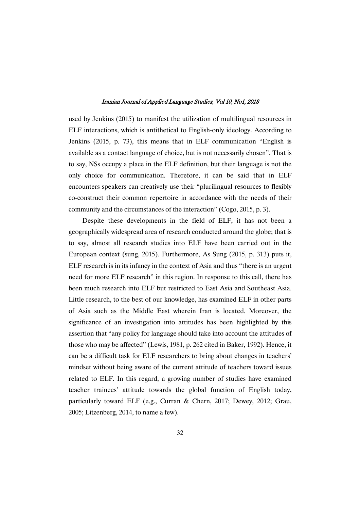used by Jenkins (2015) to manifest the utilization of multilingual resources in ELF interactions, which is antithetical to English-only ideology. According to Jenkins (2015, p. 73), this means that in ELF communication "English is available as a contact language of choice, but is not necessarily chosen". That is to say, NSs occupy a place in the ELF definition, but their language is not the only choice for communication. Therefore, it can be said that in ELF encounters speakers can creatively use their "plurilingual resources to flexibly co-construct their common repertoire in accordance with the needs of their community and the circumstances of the interaction" (Cogo, 2015, p. 3).

Despite these developments in the field of ELF, it has not been a geographically widespread area of research conducted around the globe; that is to say, almost all research studies into ELF have been carried out in the European context (sung, 2015). Furthermore, As Sung (2015, p. 313) puts it, ELF research is in its infancy in the context of Asia and thus "there is an urgent need for more ELF research" in this region. In response to this call, there has been much research into ELF but restricted to East Asia and Southeast Asia. Little research, to the best of our knowledge, has examined ELF in other parts of Asia such as the Middle East wherein Iran is located. Moreover, the significance of an investigation into attitudes has been highlighted by this assertion that "any policy for language should take into account the attitudes of those who may be affected" (Lewis, 1981, p. 262 cited in Baker, 1992). Hence, it can be a difficult task for ELF researchers to bring about changes in teachers' mindset without being aware of the current attitude of teachers toward issues related to ELF. In this regard, a growing number of studies have examined teacher trainees' attitude towards the global function of English today, particularly toward ELF (e.g., Curran & Chern, 2017; Dewey, 2012; Grau, 2005; Litzenberg, 2014, to name a few).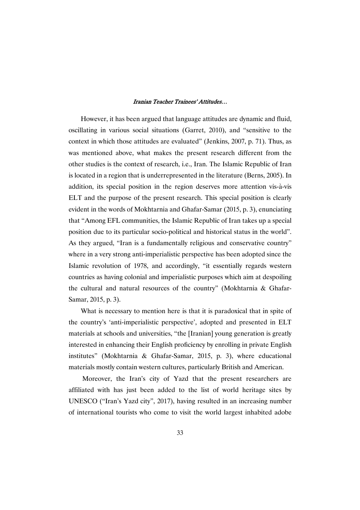However, it has been argued that language attitudes are dynamic and fluid, oscillating in various social situations (Garret, 2010), and "sensitive to the context in which those attitudes are evaluated" (Jenkins, 2007, p. 71). Thus, as was mentioned above, what makes the present research different from the other studies is the context of research, i.e., Iran. The Islamic Republic of Iran is located in a region that is underrepresented in the literature (Berns, 2005). In addition, its special position in the region deserves more attention vis-à-vis ELT and the purpose of the present research. This special position is clearly evident in the words of Mokhtarnia and Ghafar-Samar (2015, p. 3), enunciating that "Among EFL communities, the Islamic Republic of Iran takes up a special position due to its particular socio-political and historical status in the world". As they argued, "Iran is a fundamentally religious and conservative country" where in a very strong anti-imperialistic perspective has been adopted since the Islamic revolution of 1978, and accordingly, "it essentially regards western countries as having colonial and imperialistic purposes which aim at despoiling the cultural and natural resources of the country" (Mokhtarnia & Ghafar-Samar, 2015, p. 3).

What is necessary to mention here is that it is paradoxical that in spite of the country's 'anti-imperialistic perspective', adopted and presented in ELT materials at schools and universities, "the [Iranian] young generation is greatly interested in enhancing their English proficiency by enrolling in private English institutes" (Mokhtarnia & Ghafar-Samar, 2015, p. 3), where educational materials mostly contain western cultures, particularly British and American.

Moreover, the Iran's city of Yazd that the present researchers are affiliated with has just been added to the list of world heritage sites by UNESCO ("Iran's Yazd city", 2017), having resulted in an increasing number of international tourists who come to visit the world largest inhabited adobe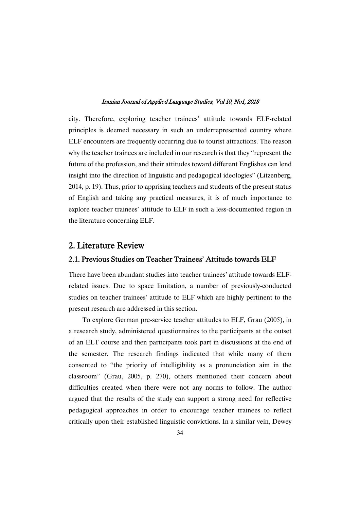city. Therefore, exploring teacher trainees' attitude towards ELF-related principles is deemed necessary in such an underrepresented country where ELF encounters are frequently occurring due to tourist attractions. The reason why the teacher trainees are included in our research is that they "represent the future of the profession, and their attitudes toward different Englishes can lend insight into the direction of linguistic and pedagogical ideologies" (Litzenberg, 2014, p. 19). Thus, prior to apprising teachers and students of the present status of English and taking any practical measures, it is of much importance to explore teacher trainees' attitude to ELF in such a less-documented region in the literature concerning ELF.

## 2. Literature Review

## 2.1. Previous Studies on Teacher Trainees' Attitude towards ELF

There have been abundant studies into teacher trainees' attitude towards ELFrelated issues. Due to space limitation, a number of previously-conducted studies on teacher trainees' attitude to ELF which are highly pertinent to the present research are addressed in this section.

To explore German pre-service teacher attitudes to ELF, Grau (2005), in a research study, administered questionnaires to the participants at the outset of an ELT course and then participants took part in discussions at the end of the semester. The research findings indicated that while many of them consented to "the priority of intelligibility as a pronunciation aim in the classroom" (Grau, 2005, p. 270), others mentioned their concern about difficulties created when there were not any norms to follow. The author argued that the results of the study can support a strong need for reflective pedagogical approaches in order to encourage teacher trainees to reflect critically upon their established linguistic convictions. In a similar vein, Dewey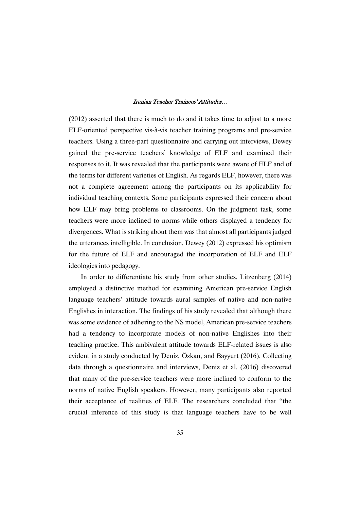(2012) asserted that there is much to do and it takes time to adjust to a more ELF-oriented perspective vis-à-vis teacher training programs and pre-service teachers. Using a three-part questionnaire and carrying out interviews, Dewey gained the pre-service teachers' knowledge of ELF and examined their responses to it. It was revealed that the participants were aware of ELF and of the terms for different varieties of English. As regards ELF, however, there was not a complete agreement among the participants on its applicability for individual teaching contexts. Some participants expressed their concern about how ELF may bring problems to classrooms. On the judgment task, some teachers were more inclined to norms while others displayed a tendency for divergences. What is striking about them was that almost all participants judged the utterances intelligible. In conclusion, Dewey (2012) expressed his optimism for the future of ELF and encouraged the incorporation of ELF and ELF ideologies into pedagogy.

In order to differentiate his study from other studies, Litzenberg (2014) employed a distinctive method for examining American pre-service English language teachers' attitude towards aural samples of native and non-native Englishes in interaction. The findings of his study revealed that although there was some evidence of adhering to the NS model, American pre-service teachers had a tendency to incorporate models of non-native Englishes into their teaching practice. This ambivalent attitude towards ELF-related issues is also evident in a study conducted by Deniz, Özkan, and Bayyurt (2016). Collecting data through a questionnaire and interviews, Deniz et al. (2016) discovered that many of the pre-service teachers were more inclined to conform to the norms of native English speakers. However, many participants also reported their acceptance of realities of ELF. The researchers concluded that "the crucial inference of this study is that language teachers have to be well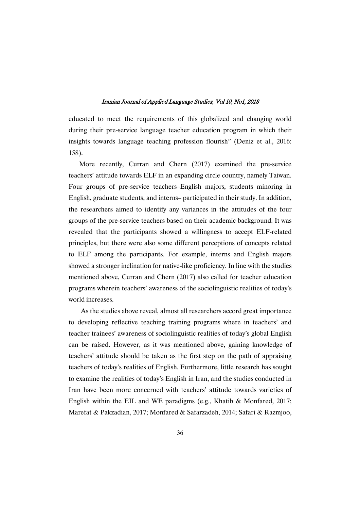educated to meet the requirements of this globalized and changing world during their pre-service language teacher education program in which their insights towards language teaching profession flourish" (Deniz et al., 2016: 158).

More recently, Curran and Chern (2017) examined the pre-service teachers' attitude towards ELF in an expanding circle country, namely Taiwan. Four groups of pre-service teachers–English majors, students minoring in English, graduate students, and interns– participated in their study. In addition, the researchers aimed to identify any variances in the attitudes of the four groups of the pre-service teachers based on their academic background. It was revealed that the participants showed a willingness to accept ELF-related principles, but there were also some different perceptions of concepts related to ELF among the participants. For example, interns and English majors showed a stronger inclination for native-like proficiency. In line with the studies mentioned above, Curran and Chern (2017) also called for teacher education programs wherein teachers' awareness of the sociolinguistic realities of today's world increases.

As the studies above reveal, almost all researchers accord great importance to developing reflective teaching training programs where in teachers' and teacher trainees' awareness of sociolinguistic realities of today's global English can be raised. However, as it was mentioned above, gaining knowledge of teachers' attitude should be taken as the first step on the path of appraising teachers of today's realities of English. Furthermore, little research has sought to examine the realities of today's English in Iran, and the studies conducted in Iran have been more concerned with teachers' attitude towards varieties of English within the EIL and WE paradigms (e.g., Khatib & Monfared, 2017; Marefat & Pakzadian, 2017; Monfared & Safarzadeh, 2014; Safari & Razmjoo,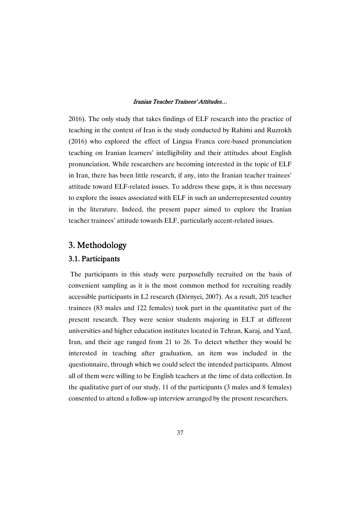2016). The only study that takes findings of ELF research into the practice of teaching in the context of Iran is the study conducted by Rahimi and Ruzrokh (2016) who explored the effect of Lingua Franca core-based pronunciation teaching on Iranian learners' intelligibility and their attitudes about English pronunciation. While researchers are becoming interested in the topic of ELF in Iran, there has been little research, if any, into the Iranian teacher trainees' attitude toward ELF-related issues. To address these gaps, it is thus necessary to explore the issues associated with ELF in such an underrepresented country in the literature. Indeed, the present paper aimed to explore the Iranian teacher trainees' attitude towards ELF, particularly accent-related issues.

# 3.Methodology

## 3.1.Participants

The participants in this study were purposefully recruited on the basis of convenient sampling as it is the most common method for recruiting readily accessible participants in L2 research (Dörnyei, 2007). As a result, 205 teacher trainees (83 males and 122 females) took part in the quantitative part of the present research. They were senior students majoring in ELT at different universities and higher education institutes located in Tehran, Karaj, and Yazd, Iran, and their age ranged from 21 to 26. To detect whether they would be interested in teaching after graduation, an item was included in the questionnaire, through which we could select the intended participants. Almost all of them were willing to be English teachers at the time of data collection. In the qualitative part of our study, 11 of the participants (3 males and 8 females) consented to attend a follow-up interview arranged by the present researchers.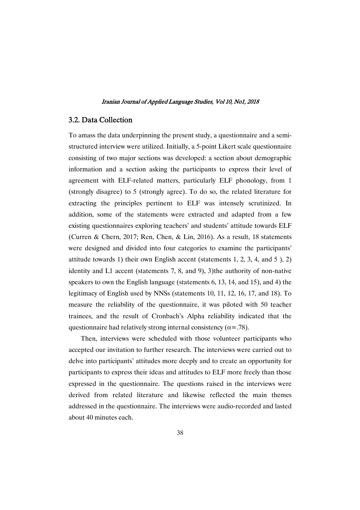## 3.2.DataCollection

To amass the data underpinning the present study, a questionnaire and a semistructured interview were utilized. Initially, a 5-point Likert scale questionnaire consisting of two major sections was developed: a section about demographic information and a section asking the participants to express their level of agreement with ELF-related matters, particularly ELF phonology, from 1 (strongly disagree) to 5 (strongly agree). To do so, the related literature for extracting the principles pertinent to ELF was intensely scrutinized. In addition, some of the statements were extracted and adapted from a few existing questionnaires exploring teachers' and students' attitude towards ELF (Curren & Chern, 2017; Ren, Chen, & Lin, 2016). As a result, 18 statements were designed and divided into four categories to examine the participants' attitude towards 1) their own English accent (statements 1, 2, 3, 4, and 5 ), 2) identity and L1 accent (statements 7, 8, and 9), 3)the authority of non-native speakers to own the English language (statements 6, 13, 14, and 15), and 4) the legitimacy of English used by NNSs (statements 10, 11, 12, 16, 17, and 18). To measure the reliability of the questionnaire, it was piloted with 50 teacher trainees, and the result of Cronbach's Alpha reliability indicated that the questionnaire had relatively strong internal consistency ( $\alpha$ =.78).

Then, interviews were scheduled with those volunteer participants who accepted our invitation to further research. The interviews were carried out to delve into participants' attitudes more deeply and to create an opportunity for participants to express their ideas and attitudes to ELF more freely than those expressed in the questionnaire. The questions raised in the interviews were derived from related literature and likewise reflected the main themes addressed in the questionnaire. The interviews were audio-recorded and lasted about 40 minutes each.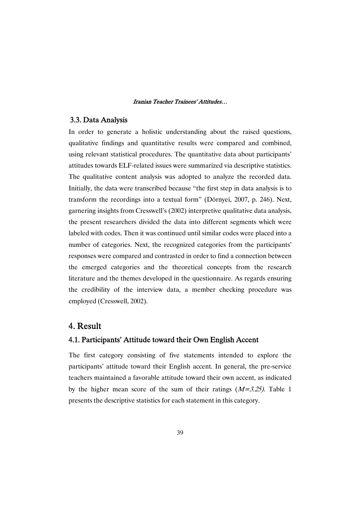## 3.3.DataAnalysis

In order to generate a holistic understanding about the raised questions, qualitative findings and quantitative results were compared and combined, using relevant statistical procedures. The quantitative data about participants' attitudes towards ELF-related issues were summarized via descriptive statistics. The qualitative content analysis was adopted to analyze the recorded data. Initially, the data were transcribed because "the first step in data analysis is to transform the recordings into a textual form" (Dörnyei, 2007, p. 246). Next, garnering insights from Cresswell's (2002) interpretive qualitative data analysis, the present researchers divided the data into different segments which were labeled with codes. Then it was continued until similar codes were placed into a number of categories. Next, the recognized categories from the participants' responses were compared and contrasted in order to find a connection between the emerged categories and the theoretical concepts from the research literature and the themes developed in the questionnaire. As regards ensuring the credibility of the interview data, a member checking procedure was employed (Cresswell, 2002).

## 4.Result

## 4.1. Participants' Attitude toward their Own English Accent

The first category consisting of five statements intended to explore the participants' attitude toward their English accent. In general, the pre-service teachers maintained a favorable attitude toward their own accent, as indicated by the higher mean score of the sum of their ratings  $(M=3.25)$ . Table 1 presents the descriptive statistics for each statement in this category.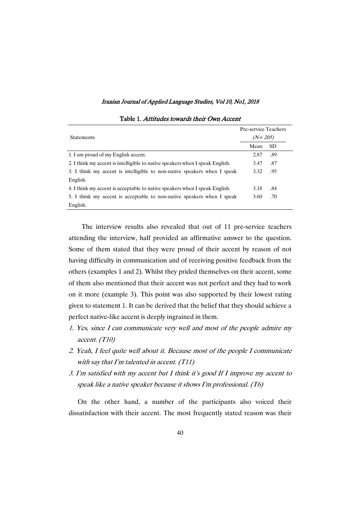|                                                                               |           | Pre-service Teachers |  |
|-------------------------------------------------------------------------------|-----------|----------------------|--|
| <b>Statements</b>                                                             | $(N=205)$ |                      |  |
|                                                                               | Mean      | <b>SD</b>            |  |
| 1. I am proud of my English accent.                                           | 2.87      | .89                  |  |
| 2. I think my accent is intelligible to native speakers when I speak English. | 3.47      | .87                  |  |
| 3. I think my accent is intelligible to non-native speakers when I speak      | 3.32      | .95                  |  |
| English.                                                                      |           |                      |  |
| 4. I think my accent is acceptable to native speakers when I speak English.   | 3.18      | .84                  |  |
| 5. I think my accent is acceptable to non-native speakers when I speak        | 3.60      | .70                  |  |
| English.                                                                      |           |                      |  |

## Table 1. Attitudes towards their Own Accent

The interview results also revealed that out of 11 pre-service teachers attending the interview, half provided an affirmative answer to the question. Some of them stated that they were proud of their accent by reason of not having difficulty in communication and of receiving positive feedback from the others (examples 1 and 2). Whilst they prided themselves on their accent, some of them also mentioned that their accent was not perfect and they had to work on it more (example 3). This point was also supported by their lowest rating given to statement 1. It can be derived that the belief that they should achieve a perfect native-like accent is deeply ingrained in them.

- 1. Yes, since I can communicate very well and most of the people admire my accent. (T10)
- 2. Yeah, I feel quite well about it. Because most of the people I communicate with say that I'm talented in accent. (T11)
- 3. I'm satisfied with my accent but I think it's good If I improve my accent to speak like <sup>a</sup> native speaker because it shows I'm professional. (T6)

On the other hand, a number of the participants also voiced their dissatisfaction with their accent. The most frequently stated reason was their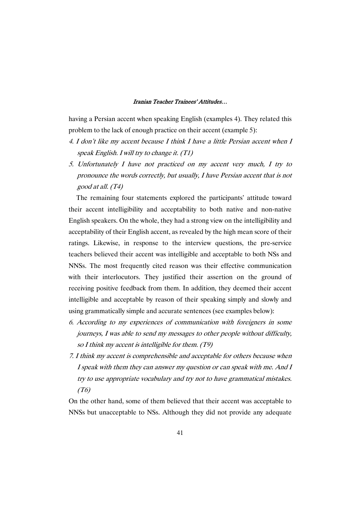having a Persian accent when speaking English (examples 4). They related this problem to the lack of enough practice on their accent (example 5):

- 4. I don't like my accent because I think I have <sup>a</sup> little Persian accent when I speak English. <sup>I</sup> will try to change it. (T1)
- 5. Unfortunately I have not practiced on my accent very much, I try to pronounce the words correctly, but usually, I have Persian accent that is not good at all. (T4)

The remaining four statements explored the participants' attitude toward their accent intelligibility and acceptability to both native and non-native English speakers. On the whole, they had a strong view on the intelligibility and acceptability of their English accent, as revealed by the high mean score of their ratings. Likewise, in response to the interview questions, the pre-service teachers believed their accent was intelligible and acceptable to both NSs and NNSs. The most frequently cited reason was their effective communication with their interlocutors. They justified their assertion on the ground of receiving positive feedback from them. In addition, they deemed their accent intelligible and acceptable by reason of their speaking simply and slowly and using grammatically simple and accurate sentences (see examples below):

- 6. According to my experiences of communication with foreigners in some journeys, I was able to send my messages to other people without difficulty, so <sup>I</sup> think my accent is intelligible for them. (T9)
- 7. I think my accent is comprehensible and acceptable for others because when I speak with them they can answer my question or can speak with me. And I try to use appropriate vocabulary and try not to have grammatical mistakes. (T6)

On the other hand, some of them believed that their accent was acceptable to NNSs but unacceptable to NSs. Although they did not provide any adequate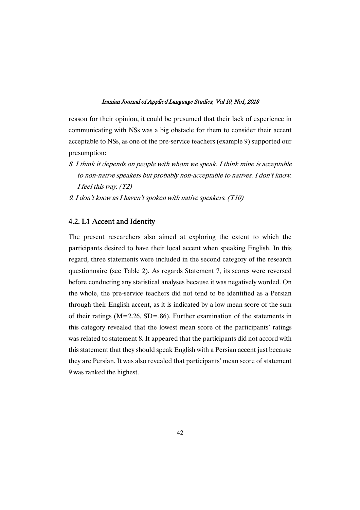reason for their opinion, it could be presumed that their lack of experience in communicating with NSs was a big obstacle for them to consider their accent acceptable to NSs, as one of the pre-service teachers (example 9) supported our presumption:

- 8. I think it depends on people with whom we speak. I think mine is acceptable to non-native speakers but probably non-acceptable to natives. I don't know. <sup>I</sup> feel this way. (T2)
- 9. <sup>I</sup> don't know as <sup>I</sup> haven't spoken with native speakers. (T10)

## 4.2. L1 Accent and Identity

The present researchers also aimed at exploring the extent to which the participants desired to have their local accent when speaking English. In this regard, three statements were included in the second category of the research questionnaire (see Table 2). As regards Statement 7, its scores were reversed before conducting any statistical analyses because it was negatively worded. On the whole, the pre-service teachers did not tend to be identified as a Persian through their English accent, as it is indicated by a low mean score of the sum of their ratings ( $M=2.26$ ,  $SD=.86$ ). Further examination of the statements in this category revealed that the lowest mean score of the participants' ratings was related to statement 8. It appeared that the participants did not accord with this statement that they should speak English with a Persian accent just because they are Persian. It was also revealed that participants' mean score of statement 9 was ranked the highest.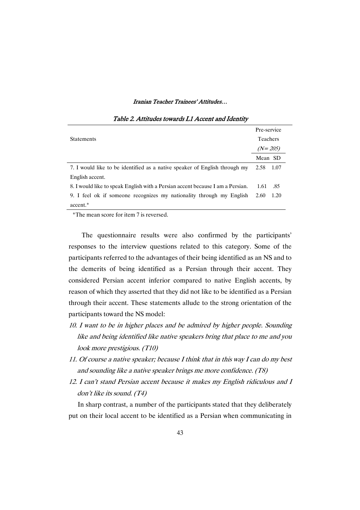|                                                                                | Pre-service |        |
|--------------------------------------------------------------------------------|-------------|--------|
| <b>Statements</b>                                                              | Teachers    |        |
|                                                                                | $(N=205)$   |        |
|                                                                                | Mean SD     |        |
| 7. I would like to be identified as a native speaker of English through my     | 2.58        | - 1.07 |
| English accent.                                                                |             |        |
| 8. I would like to speak English with a Persian accent because I am a Persian. | 1.61        | .85    |
| 9. I feel ok if someone recognizes my nationality through my English           | 2.60        | 1.20   |
| accent.*                                                                       |             |        |

#### Table 2. Attitudes towards L1 Accent and Identity

\*The mean score for item 7 is reversed.

The questionnaire results were also confirmed by the participants' responses to the interview questions related to this category. Some of the participants referred to the advantages of their being identified as an NS and to the demerits of being identified as a Persian through their accent. They considered Persian accent inferior compared to native English accents, by reason of which they asserted that they did not like to be identified as a Persian through their accent. These statements allude to the strong orientation of the participants toward the NS model:

- 10. I want to be in higher places and be admired by higher people. Sounding like and being identified like native speakers bring that place to me and you look more prestigious. (T10)
- 11. Of course <sup>a</sup> native speaker; because I think that in this way I can do my best and sounding like <sup>a</sup> native speaker brings me more confidence. (T8)
- 12. I can't stand Persian accent because it makes my English ridiculous and I don't like its sound. (T4)

In sharp contrast, a number of the participants stated that they deliberately put on their local accent to be identified as a Persian when communicating in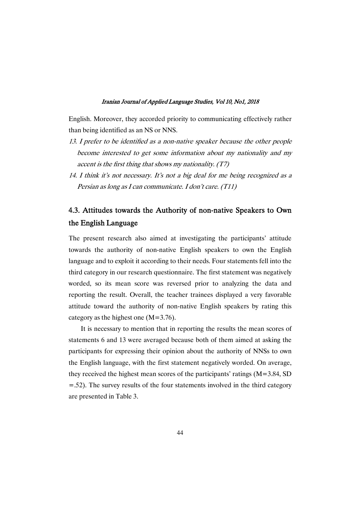English. Moreover, they accorded priority to communicating effectively rather than being identified as an NS or NNS.

- 13. I prefer to be identified as a non-native speaker because the other people become interested to get some information about my nationality and my accent is the first thing that shows my nationality.  $(T7)$
- 14. I think it's not necessary. It's not <sup>a</sup> big deal for me being recognized as <sup>a</sup> Persian as long as <sup>I</sup> can communicate. <sup>I</sup> don't care. (T11)

# 4.3. Attitudes towards the Authority of non-native Speakers to Own the English Language

The present research also aimed at investigating the participants' attitude towards the authority of non-native English speakers to own the English language and to exploit it according to their needs. Four statements fell into the third category in our research questionnaire. The first statement was negatively worded, so its mean score was reversed prior to analyzing the data and reporting the result. Overall, the teacher trainees displayed a very favorable attitude toward the authority of non-native English speakers by rating this category as the highest one  $(M=3.76)$ .

It is necessary to mention that in reporting the results the mean scores of statements 6 and 13 were averaged because both of them aimed at asking the participants for expressing their opinion about the authority of NNSs to own the English language, with the first statement negatively worded. On average, they received the highest mean scores of the participants' ratings (M=3.84, SD =.52). The survey results of the four statements involved in the third category are presented in Table 3.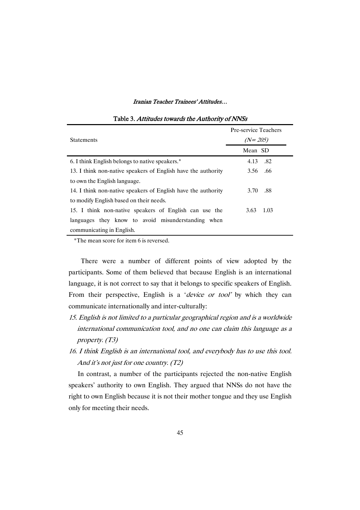| <b>Statements</b>                                             | Pre-service Teachers<br>$(N=205)$ |  |
|---------------------------------------------------------------|-----------------------------------|--|
|                                                               | Mean SD                           |  |
| 6. I think English belongs to native speakers.*               | .82<br>4.13                       |  |
| 13. I think non-native speakers of English have the authority | 3.56 .66                          |  |
| to own the English language.                                  |                                   |  |
| 14. I think non-native speakers of English have the authority | .88<br>3.70                       |  |
| to modify English based on their needs.                       |                                   |  |
| 15. I think non-native speakers of English can use the        | 1.03<br>3.63                      |  |
| languages they know to avoid misunderstanding when            |                                   |  |
| communicating in English.                                     |                                   |  |

## Table 3. Attitudes towards the Authority of NNSs

\*The mean score for item 6 is reversed.

There were a number of different points of view adopted by the participants. Some of them believed that because English is an international language, it is not correct to say that it belongs to specific speakers of English. From their perspective, English is a '*device or tool*' by which they can communicate internationally and inter-culturally:

- 15. English is not limited to <sup>a</sup> particular geographical region and is <sup>a</sup> worldwide international communication tool, and no one can claim this language as <sup>a</sup> property. (T3)
- 16. I think English is an international tool, and everybody has to use this tool. And it's not just for one country. (T2)

In contrast, a number of the participants rejected the non-native English speakers' authority to own English. They argued that NNSs do not have the right to own English because it is not their mother tongue and they use English only for meeting their needs.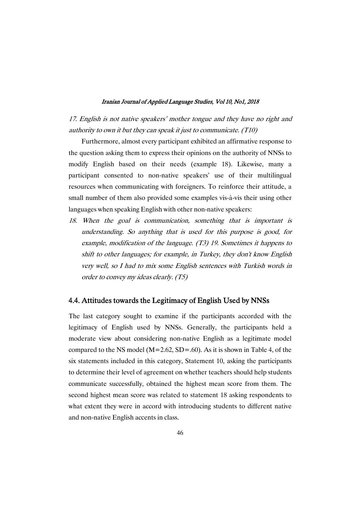17. English is not native speakers' mother tongue and they have no right and authority to own it but they can speak it just to communicate. (T10)

Furthermore, almost every participant exhibited an affirmative response to the question asking them to express their opinions on the authority of NNSs to modify English based on their needs (example 18). Likewise, many a participant consented to non-native speakers' use of their multilingual resources when communicating with foreigners. To reinforce their attitude, a small number of them also provided some examples vis-à-vis their using other languages when speaking English with other non-native speakers:

18. When the goal is communication, something that is important is understanding. So anything that is used for this purpose is good, for example, modification of the language. (T3) 19. Sometimes it happens to shift to other languages; for example, in Turkey, they don't know English very well, so I had to mix some English sentences with Turkish words in order to convey my ideas clearly. (T5)

## 4.4. Attitudes towards the Legitimacy of English Used by NNSs

The last category sought to examine if the participants accorded with the legitimacy of English used by NNSs. Generally, the participants held a moderate view about considering non-native English as a legitimate model compared to the NS model  $(M=2.62, SD=.60)$ . As it is shown in Table 4, of the six statements included in this category, Statement 10, asking the participants to determine their level of agreement on whether teachers should help students communicate successfully, obtained the highest mean score from them. The second highest mean score was related to statement 18 asking respondents to what extent they were in accord with introducing students to different native and non-native English accents in class.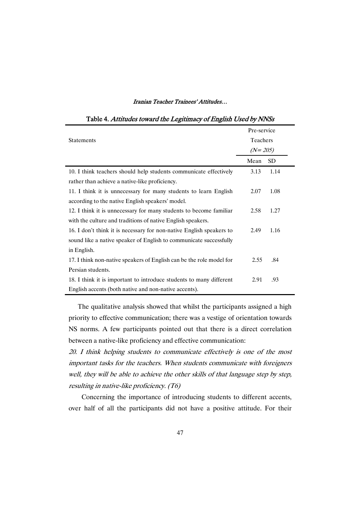|                                                                      | Pre-service |           |
|----------------------------------------------------------------------|-------------|-----------|
| <b>Statements</b>                                                    | Teachers    |           |
|                                                                      | $(N=205)$   |           |
|                                                                      | Mean        | <b>SD</b> |
| 10. I think teachers should help students communicate effectively    | 3.13        | 1.14      |
| rather than achieve a native-like proficiency.                       |             |           |
| 11. I think it is unnecessary for many students to learn English     | 2.07        | 1.08      |
| according to the native English speakers' model.                     |             |           |
| 12. I think it is unnecessary for many students to become familiar   | 2.58        | 1.27      |
| with the culture and traditions of native English speakers.          |             |           |
| 16. I don't think it is necessary for non-native English speakers to | 2.49        | 1.16      |
| sound like a native speaker of English to communicate successfully   |             |           |
| in English.                                                          |             |           |
| 17. I think non-native speakers of English can be the role model for | 2.55        | .84       |
| Persian students.                                                    |             |           |
| 18. I think it is important to introduce students to many different  | 2.91        | .93       |
| English accents (both native and non-native accents).                |             |           |

## Table 4. Attitudes toward the Legitimacy of English Used by NNSs

The qualitative analysis showed that whilst the participants assigned a high priority to effective communication; there was a vestige of orientation towards NS norms. A few participants pointed out that there is a direct correlation between a native-like proficiency and effective communication:

20. I think helping students to communicate effectively is one of the most important tasks for the teachers. When students communicate with foreigners well, they will be able to achieve the other skills of that language step by step, resulting in native-like proficiency. (T6)

Concerning the importance of introducing students to different accents, over half of all the participants did not have a positive attitude. For their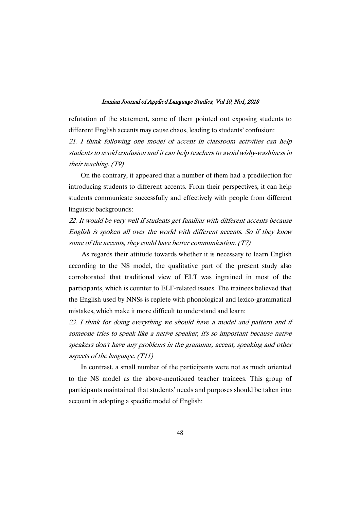refutation of the statement, some of them pointed out exposing students to different English accents may cause chaos, leading to students' confusion:

21. I think following one model of accent in classroom activities can help students to avoid confusion and it can help teachers to avoid wishy-washiness in their teaching. (T9)

On the contrary, it appeared that a number of them had a predilection for introducing students to different accents. From their perspectives, it can help students communicate successfully and effectively with people from different linguistic backgrounds:

22. It would be very well if students get familiar with different accents because English is spoken all over the world with different accents. So if they know some of the accents, they could have better communication. (T7)

As regards their attitude towards whether it is necessary to learn English according to the NS model, the qualitative part of the present study also corroborated that traditional view of ELT was ingrained in most of the participants, which is counter to ELF-related issues. The trainees believed that the English used by NNSs is replete with phonological and lexico-grammatical mistakes, which make it more difficult to understand and learn:

23. I think for doing everything we should have <sup>a</sup> model and pattern and if someone tries to speak like <sup>a</sup> native speaker, it's so important because native speakers don't have any problems in the grammar, accent, speaking and other aspects of the language. (T11)

In contrast, a small number of the participants were not as much oriented to the NS model as the above-mentioned teacher trainees. This group of participants maintained that students' needs and purposes should be taken into account in adopting a specific model of English: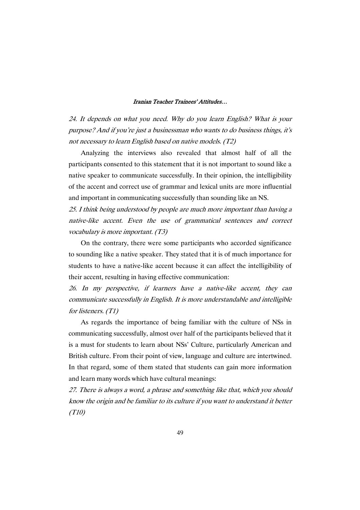24. It depends on what you need. Why do you learn English? What is your purpose? And if you're just <sup>a</sup> businessman who wants to do business things, it's not necessary to learn English based on native models. (T2)

Analyzing the interviews also revealed that almost half of all the participants consented to this statement that it is not important to sound like a native speaker to communicate successfully. In their opinion, the intelligibility of the accent and correct use of grammar and lexical units are more influential and important in communicating successfully than sounding like an NS.

25. I think being understood by people are much more important than having <sup>a</sup> native-like accent. Even the use of grammatical sentences and correct vocabulary is more important. (T3)

On the contrary, there were some participants who accorded significance to sounding like a native speaker. They stated that it is of much importance for students to have a native-like accent because it can affect the intelligibility of their accent, resulting in having effective communication:

26. In my perspective, if learners have <sup>a</sup> native-like accent, they can communicate successfully in English. It is more understandable and intelligible for listeners. (T1)

As regards the importance of being familiar with the culture of NSs in communicating successfully, almost over half of the participants believed that it is a must for students to learn about NSs' Culture, particularly American and British culture. From their point of view, language and culture are intertwined. In that regard, some of them stated that students can gain more information and learn many words which have cultural meanings:

27. There is always <sup>a</sup> word, <sup>a</sup> phrase and something like that, which you should know the origin and be familiar to its culture if you want to understand it better (T10)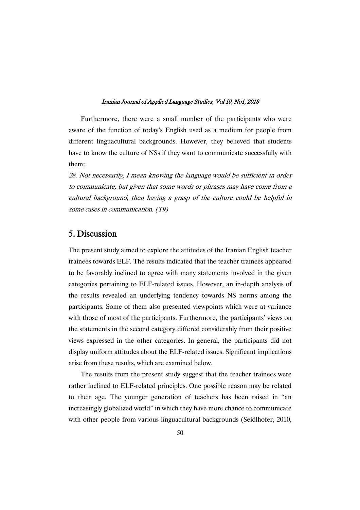Furthermore, there were a small number of the participants who were aware of the function of today's English used as a medium for people from different linguacultural backgrounds. However, they believed that students have to know the culture of NSs if they want to communicate successfully with them:

28. Not necessarily, I mean knowing the language would be sufficient in order to communicate, but given that some words or phrases may have come from <sup>a</sup> cultural background, then having <sup>a</sup> grasp of the culture could be helpful in some cases in communication. (T9)

## 5.Discussion

The present study aimed to explore the attitudes of the Iranian English teacher trainees towards ELF. The results indicated that the teacher trainees appeared to be favorably inclined to agree with many statements involved in the given categories pertaining to ELF-related issues. However, an in-depth analysis of the results revealed an underlying tendency towards NS norms among the participants. Some of them also presented viewpoints which were at variance with those of most of the participants. Furthermore, the participants' views on the statements in the second category differed considerably from their positive views expressed in the other categories. In general, the participants did not display uniform attitudes about the ELF-related issues. Significant implications arise from these results, which are examined below.

The results from the present study suggest that the teacher trainees were rather inclined to ELF-related principles. One possible reason may be related to their age. The younger generation of teachers has been raised in "an increasingly globalized world" in which they have more chance to communicate with other people from various linguacultural backgrounds (Seidlhofer, 2010,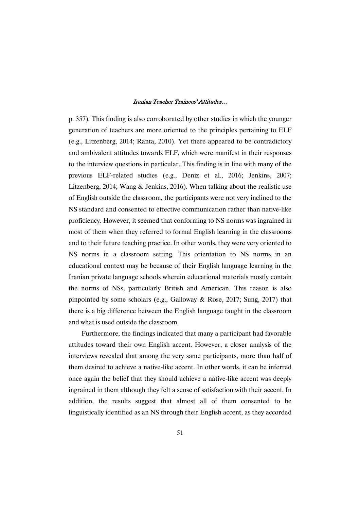p. 357). This finding is also corroborated by other studies in which the younger generation of teachers are more oriented to the principles pertaining to ELF (e.g., Litzenberg, 2014; Ranta, 2010). Yet there appeared to be contradictory and ambivalent attitudes towards ELF, which were manifest in their responses to the interview questions in particular. This finding is in line with many of the previous ELF-related studies (e.g., Deniz et al., 2016; Jenkins, 2007; Litzenberg, 2014; Wang & Jenkins, 2016). When talking about the realistic use of English outside the classroom, the participants were not very inclined to the NS standard and consented to effective communication rather than native-like proficiency. However, it seemed that conforming to NS norms was ingrained in most of them when they referred to formal English learning in the classrooms and to their future teaching practice. In other words, they were very oriented to NS norms in a classroom setting. This orientation to NS norms in an educational context may be because of their English language learning in the Iranian private language schools wherein educational materials mostly contain the norms of NSs, particularly British and American. This reason is also pinpointed by some scholars (e.g., Galloway & Rose, 2017; Sung, 2017) that there is a big difference between the English language taught in the classroom and what is used outside the classroom.

Furthermore, the findings indicated that many a participant had favorable attitudes toward their own English accent. However, a closer analysis of the interviews revealed that among the very same participants, more than half of them desired to achieve a native-like accent. In other words, it can be inferred once again the belief that they should achieve a native-like accent was deeply ingrained in them although they felt a sense of satisfaction with their accent. In addition, the results suggest that almost all of them consented to be linguistically identified as an NS through their English accent, as they accorded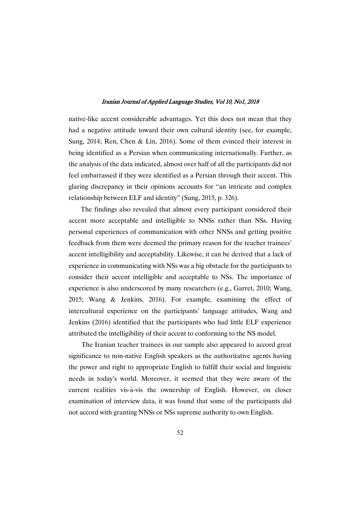native-like accent considerable advantages. Yet this does not mean that they had a negative attitude toward their own cultural identity (see, for example, Sung, 2014; Ren, Chen & Lin, 2016). Some of them evinced their interest in being identified as a Persian when communicating internationally. Further, as the analysis of the data indicated, almost over half of all the participants did not feel embarrassed if they were identified as a Persian through their accent. This glaring discrepancy in their opinions accounts for "an intricate and complex relationship between ELF and identity" (Sung, 2015, p. 326).

The findings also revealed that almost every participant considered their accent more acceptable and intelligible to NNSs rather than NSs. Having personal experiences of communication with other NNSs and getting positive feedback from them were deemed the primary reason for the teacher trainees' accent intelligibility and acceptability. Likewise, it can be derived that a lack of experience in communicating with NSs was a big obstacle for the participants to consider their accent intelligible and acceptable to NSs. The importance of experience is also underscored by many researchers (e.g., Garret, 2010; Wang, 2015; Wang & Jenkins, 2016). For example, examining the effect of intercultural experience on the participants' language attitudes, Wang and Jenkins (2016) identified that the participants who had little ELF experience attributed the intelligibility of their accent to conforming to the NS model.

The Iranian teacher trainees in our sample also appeared to accord great significance to non-native English speakers as the authoritative agents having the power and right to appropriate English to fulfill their social and linguistic needs in today's world. Moreover, it seemed that they were aware of the current realities vis-à-vis the ownership of English. However, on closer examination of interview data, it was found that some of the participants did not accord with granting NNSs or NSs supreme authority to own English.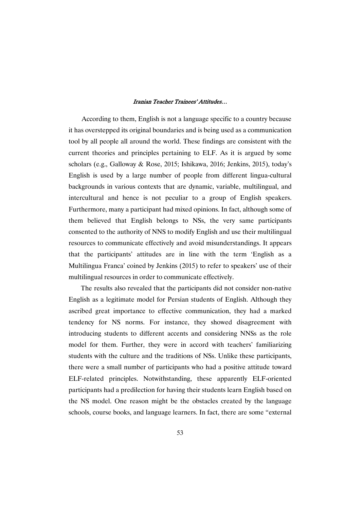According to them, English is not a language specific to a country because it has overstepped its original boundaries and is being used as a communication tool by all people all around the world. These findings are consistent with the current theories and principles pertaining to ELF. As it is argued by some scholars (e.g., Galloway & Rose, 2015; Ishikawa, 2016; Jenkins, 2015), today's English is used by a large number of people from different lingua-cultural backgrounds in various contexts that are dynamic, variable, multilingual, and intercultural and hence is not peculiar to a group of English speakers. Furthermore, many a participant had mixed opinions. In fact, although some of them believed that English belongs to NSs, the very same participants consented to the authority of NNS to modify English and use their multilingual resources to communicate effectively and avoid misunderstandings. It appears that the participants' attitudes are in line with the term 'English as a Multilingua Franca' coined by Jenkins (2015) to refer to speakers' use of their multilingual resources in order to communicate effectively.

The results also revealed that the participants did not consider non-native English as a legitimate model for Persian students of English. Although they ascribed great importance to effective communication, they had a marked tendency for NS norms. For instance, they showed disagreement with introducing students to different accents and considering NNSs as the role model for them. Further, they were in accord with teachers' familiarizing students with the culture and the traditions of NSs. Unlike these participants, there were a small number of participants who had a positive attitude toward ELF-related principles. Notwithstanding, these apparently ELF-oriented participants had a predilection for having their students learn English based on the NS model. One reason might be the obstacles created by the language schools, course books, and language learners. In fact, there are some "external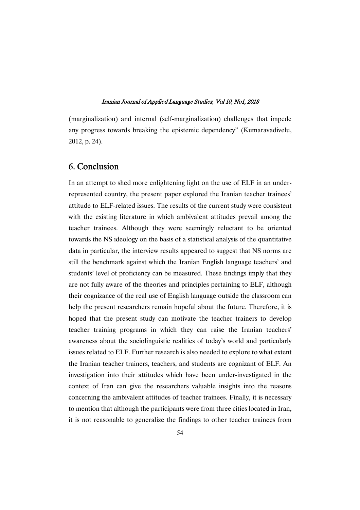(marginalization) and internal (self-marginalization) challenges that impede any progress towards breaking the epistemic dependency" (Kumaravadivelu, 2012, p. 24).

## 6.Conclusion

In an attempt to shed more enlightening light on the use of ELF in an underrepresented country, the present paper explored the Iranian teacher trainees' attitude to ELF-related issues. The results of the current study were consistent with the existing literature in which ambivalent attitudes prevail among the teacher trainees. Although they were seemingly reluctant to be oriented towards the NS ideology on the basis of a statistical analysis of the quantitative data in particular, the interview results appeared to suggest that NS norms are still the benchmark against which the Iranian English language teachers' and students' level of proficiency can be measured. These findings imply that they are not fully aware of the theories and principles pertaining to ELF, although their cognizance of the real use of English language outside the classroom can help the present researchers remain hopeful about the future. Therefore, it is hoped that the present study can motivate the teacher trainers to develop teacher training programs in which they can raise the Iranian teachers' awareness about the sociolinguistic realities of today's world and particularly issues related to ELF. Further research is also needed to explore to what extent the Iranian teacher trainers, teachers, and students are cognizant of ELF. An investigation into their attitudes which have been under-investigated in the context of Iran can give the researchers valuable insights into the reasons concerning the ambivalent attitudes of teacher trainees. Finally, it is necessary to mention that although the participants were from three cities located in Iran, it is not reasonable to generalize the findings to other teacher trainees from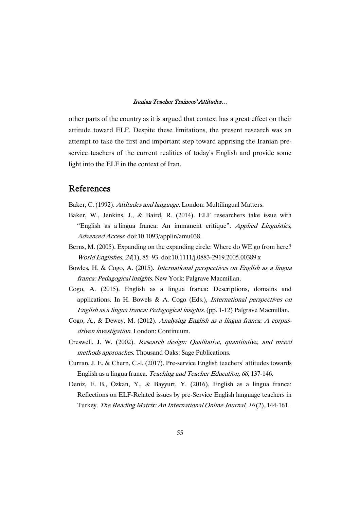other parts of the country as it is argued that context has a great effect on their attitude toward ELF. Despite these limitations, the present research was an attempt to take the first and important step toward apprising the Iranian preservice teachers of the current realities of today's English and provide some light into the ELF in the context of Iran.

## References

Baker, C. (1992). Attitudes and language. London: Multilingual Matters.

- Baker, W., Jenkins, J., & Baird, R. (2014). ELF researchers take issue with "English as a lingua franca: An immanent critique". Applied Linguistics, Advanced Access. doi:10.1093/applin/amu038.
- Berns, M. (2005). Expanding on the expanding circle: Where do WE go from here? World Englishes, <sup>24</sup>(1), 85–93. doi:10.1111/j.0883-2919.2005.00389.x
- Bowles, H. & Cogo, A. (2015). International perspectives on English as <sup>a</sup> lingua franca: Pedagogical insights. New York: Palgrave Macmillan.
- Cogo, A. (2015). English as a lingua franca: Descriptions, domains and applications. In H. Bowels & A. Cogo (Eds.), International perspectives on English as <sup>a</sup> lingua franca: Pedagogical insights. (pp. 1-12) Palgrave Macmillan.
- Cogo, A., & Dewey, M. (2012). Analysing English as <sup>a</sup> lingua franca: <sup>A</sup> corpusdriven investigation. London: Continuum.
- Creswell, J. W. (2002). Research design: Qualitative, quantitative, and mixed methods approaches. Thousand Oaks: Sage Publications.
- Curran, J. E. & Chern, C.-l. (2017). Pre-service English teachers' attitudes towards English as a lingua franca. Teaching and Teacher Education, 66, 137-146.
- Deniz, E. B., Özkan, Y., & Bayyurt, Y. (2016). English as a lingua franca: Reflections on ELF-Related issues by pre-Service English language teachers in Turkey. The Reading Matrix: An International Online Journal, <sup>16</sup> (2), 144-161.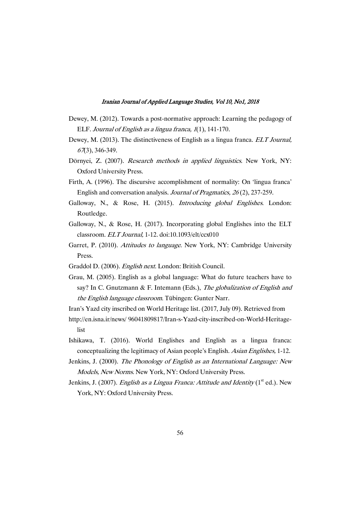- Dewey, M. (2012). Towards a post-normative approach: Learning the pedagogy of ELF. Journal of English as <sup>a</sup> lingua franca, <sup>1</sup>(1), 141-170.
- Dewey, M. (2013). The distinctiveness of English as a lingua franca. *ELT Journal*, <sup>67</sup>(3), 346-349.
- Dörnyei, Z. (2007). Research methods in applied linguistics. New York, NY: Oxford University Press.
- Firth, A. (1996). The discursive accomplishment of normality: On 'lingua franca' English and conversation analysis. Journal of Pragmatics, <sup>26</sup> (2), 237-259.
- Galloway, N., & Rose, H. (2015). Introducing global Englishes. London: Routledge.
- Galloway, N., & Rose, H. (2017). Incorporating global Englishes into the ELT classroom. ELT Journal, 1-12. doi:10.1093/elt/ccx010
- Garret, P. (2010). Attitudes to language. New York, NY: Cambridge University Press.
- Graddol D. (2006). English next. London: British Council.
- Grau, M. (2005). English as a global language: What do future teachers have to say? In C. Gnutzmann & F. Intemann (Eds.), The globalization of English and the English language classroom. Tübingen: Gunter Narr.

Iran's Yazd city inscribed on World Heritage list. (2017, July 09). Retrieved from

- http://en.isna.ir/news/ 96041809817/Iran-s-Yazd-city-inscribed-on-World-Heritagelist
- Ishikawa, T. (2016). World Englishes and English as a lingua franca: conceptualizing the legitimacy of Asian people's English. Asian Englishes, 1-12.
- Jenkins, J. (2000). The Phonology of English as an International Language: New Models, New Norms. New York, NY: Oxford University Press.
- Jenkins, J. (2007). *English as a Lingua Franca: Attitude and Identity* ( $1<sup>st</sup>$  ed.). New York, NY: Oxford University Press.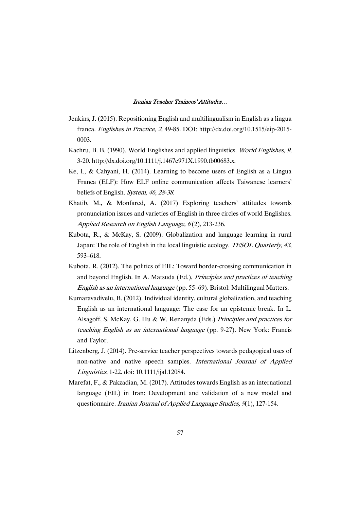- Jenkins, J. (2015). Repositioning English and multilingualism in English as a lingua franca. Englishes in Practice, 2, 49-85. DOI: http://dx.doi.org/10.1515/eip-2015- 0003.
- Kachru, B. B. (1990). World Englishes and applied linguistics. World Englishes, 9, 3-20. http://dx.doi.org/10.1111/j.1467e971X.1990.tb00683.x.
- Ke, I., & Cahyani, H. (2014). Learning to become users of English as a Lingua Franca (ELF): How ELF online communication affects Taiwanese learners' beliefs of English. System, 46, 28-38.
- Khatib, M., & Monfared, A. (2017) Exploring teachers' attitudes towards pronunciation issues and varieties of English in three circles of world Englishes. Applied Research on English Language,  $6(2)$ , 213-236.
- Kubota, R., & McKay, S. (2009). Globalization and language learning in rural Japan: The role of English in the local linguistic ecology. TESOL Quarterly, 43, 593–618.
- Kubota, R. (2012). The politics of EIL: Toward border-crossing communication in and beyond English. In A. Matsuda (Ed.), Principles and practices of teaching English as an international language (pp. 55–69). Bristol: Multilingual Matters.
- Kumaravadivelu, B. (2012). Individual identity, cultural globalization, and teaching English as an international language: The case for an epistemic break. In L. Alsagoff, S. McKay, G. Hu & W. Renanyda (Eds.) Principles and practices for teaching English as an international language (pp. 9-27). New York: Francis and Taylor.
- Litzenberg, J. (2014). Pre-service teacher perspectives towards pedagogical uses of non-native and native speech samples. International Journal of Applied Linguistics, 1-22. doi: 10.1111/ijal.12084.
- Marefat, F., & Pakzadian, M. (2017). Attitudes towards English as an international language (EIL) in Iran: Development and validation of a new model and questionnaire. Iranian Journal of Applied Language Studies, 9(1), 127-154.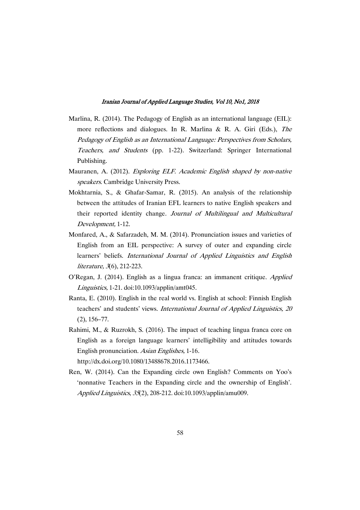- Marlina, R. (2014). The Pedagogy of English as an international language (EIL): more reflections and dialogues. In R. Marlina & R. A. Giri (Eds.), The Pedagogy of English as an International Language: Perspectives from Scholars, Teachers, and Students (pp. 1-22). Switzerland: Springer International Publishing.
- Mauranen, A. (2012). Exploring ELF. Academic English shaped by non-native speakers. Cambridge University Press.
- Mokhtarnia, S., & Ghafar-Samar, R. (2015). An analysis of the relationship between the attitudes of Iranian EFL learners to native English speakers and their reported identity change. Journal of Multilingual and Multicultural Development, 1-12.
- Monfared, A., & Safarzadeh, M. M. (2014). Pronunciation issues and varieties of English from an EIL perspective: A survey of outer and expanding circle learners' beliefs. International Journal of Applied Linguistics and English literature, <sup>3</sup>(6), 212-223.
- O'Regan, J. (2014). English as a lingua franca: an immanent critique. Applied Linguistics, 1-21. doi:10.1093/applin/amt045.
- Ranta, E. (2010). English in the real world vs. English at school: Finnish English teachers' and students' views. International Journal of Applied Linguistics, <sup>20</sup> (2), 156–77.
- Rahimi, M., & Ruzrokh, S. (2016). The impact of teaching lingua franca core on English as a foreign language learners' intelligibility and attitudes towards English pronunciation. Asian Englishes, 1-16.

http://dx.doi.org/10.1080/13488678.2016.1173466.

Ren, W. (2014). Can the Expanding circle own English? Comments on Yoo's 'nonnative Teachers in the Expanding circle and the ownership of English'. Applied Linguistics, <sup>35</sup>(2), 208-212. doi:10.1093/applin/amu009.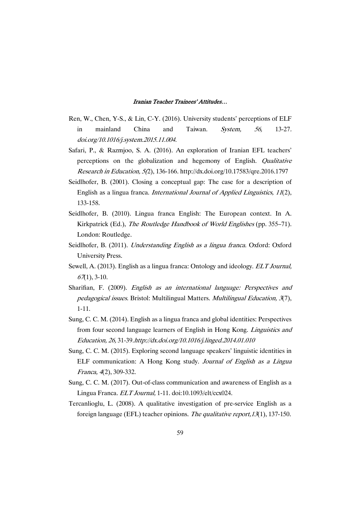- Ren, W., Chen, Y-S., & Lin, C-Y. (2016). University students' perceptions of ELF in mainland China and Taiwan. System, 56, 13-27. doi.org/10.1016/j.system.2015.11.004.
- Safari, P., & Razmjoo, S. A. (2016). An exploration of Iranian EFL teachers' perceptions on the globalization and hegemony of English. Qualitative Research in Education, 5(2), 136-166. http://dx.doi.org/10.17583/qre.2016.1797
- Seidlhofer, B. (2001). Closing a conceptual gap: The case for a description of English as a lingua franca. International Journal of Applied Linguistics, <sup>11</sup>(2), 133-158.
- Seidlhofer, B. (2010). Lingua franca English: The European context. In A. Kirkpatrick (Ed.), The Routledge Handbook of World Englishes (pp. 355–71). London: Routledge.
- Seidlhofer, B. (2011). Understanding English as a lingua franca. Oxford: Oxford University Press.
- Sewell, A. (2013). English as a lingua franca: Ontology and ideology. *ELT Journal*,  $67(1)$ , 3-10.
- Sharifian, F. (2009). English as an international language: Perspectives and pedagogical issues. Bristol: Multilingual Matters. Multilingual Education, <sup>3</sup>(7), 1-11.
- Sung, C. C. M. (2014). English as a lingua franca and global identities: Perspectives from four second language learners of English in Hong Kong. Linguistics and Education, 26, 31-39.http://dx.doi.org/10.1016/j.linged.2014.01.010
- Sung, C. C. M. (2015). Exploring second language speakers' linguistic identities in ELF communication: A Hong Kong study. Journal of English as <sup>a</sup> Lingua Franca, <sup>4</sup>(2), 309-332.
- Sung, C. C. M. (2017). Out-of-class communication and awareness of English as a Lingua Franca. ELT Journal, 1-11. doi:10.1093/elt/ccx024.
- Tercanlioglu, L. (2008). A qualitative investigation of pre-service English as a foreign language (EFL) teacher opinions. The qualitative report,13(1), 137-150.